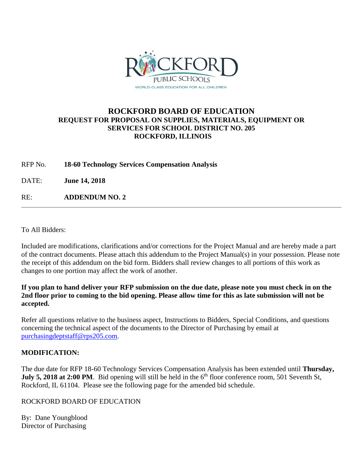

## **ROCKFORD BOARD OF EDUCATION REQUEST FOR PROPOSAL ON SUPPLIES, MATERIALS, EQUIPMENT OR SERVICES FOR SCHOOL DISTRICT NO. 205 ROCKFORD, ILLINOIS**

RFP No. **18-60 Technology Services Compensation Analysis**

DATE: **June 14, 2018**

RE: **ADDENDUM NO. 2**

To All Bidders:

Included are modifications, clarifications and/or corrections for the Project Manual and are hereby made a part of the contract documents. Please attach this addendum to the Project Manual(s) in your possession. Please note the receipt of this addendum on the bid form. Bidders shall review changes to all portions of this work as changes to one portion may affect the work of another.

**If you plan to hand deliver your RFP submission on the due date, please note you must check in on the 2nd floor prior to coming to the bid opening. Please allow time for this as late submission will not be accepted.**

Refer all questions relative to the business aspect, Instructions to Bidders, Special Conditions, and questions concerning the technical aspect of the documents to the Director of Purchasing by email at [purchasingdeptstaff@rps205.com.](mailto:purchasingdeptstaff@rps205.com)

## **MODIFICATION:**

The due date for RFP 18-60 Technology Services Compensation Analysis has been extended until **Thursday, July 5, 2018 at 2:00 PM**. Bid opening will still be held in the  $6<sup>th</sup>$  floor conference room, 501 Seventh St, Rockford, IL 61104. Please see the following page for the amended bid schedule.

## ROCKFORD BOARD OF EDUCATION

By: Dane Youngblood Director of Purchasing